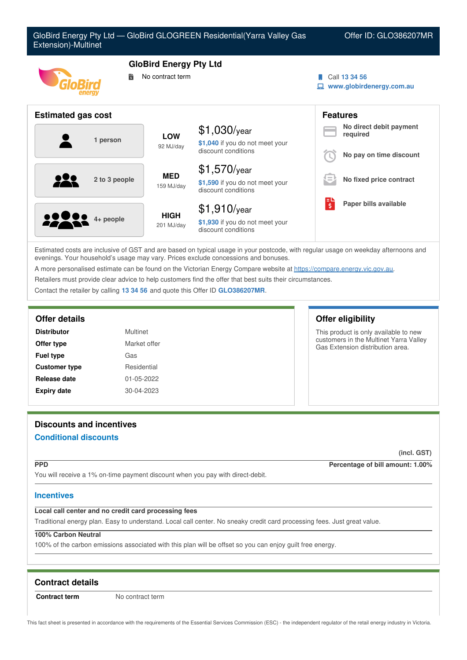

Estimated costs are inclusive of GST and are based on typical usage in your postcode, with regular usage on weekday afternoons and evenings. Your household's usage may vary. Prices exclude concessions and bonuses.

A more personalised estimate can be found on the Victorian Energy Compare website at <https://compare.energy.vic.gov.au>.

Retailers must provide clear advice to help customers find the offer that best suits their circumstances.

Contact the retailer by calling **13 34 56** and quote this Offer ID **GLO386207MR**.

| <b>Distributor</b>   | Multinet     |
|----------------------|--------------|
| Offer type           | Market offer |
| <b>Fuel type</b>     | Gas          |
| <b>Customer type</b> | Residential  |
| Release date         | 01-05-2022   |
| <b>Expiry date</b>   | 30-04-2023   |

# **Offer details Offer eligibility**

This product is only available to new customers in the Multinet Yarra Valley Gas Extension distribution area.

# **Discounts and incentives**

# **Conditional discounts**

**(incl. GST)**

**PPD Percentage of bill amount: 1.00%**

You will receive a 1% on-time payment discount when you pay with direct-debit.

# **Incentives**

# **Local call center and no credit card processing fees**

Traditional energy plan. Easy to understand. Local call center. No sneaky credit card processing fees. Just great value.

# **100% Carbon Neutral**

100% of the carbon emissions associated with this plan will be offset so you can enjoy guilt free energy.

# **Contract details**

**Contract term** No contract term

This fact sheet is presented in accordance with the requirements of the Essential Services Commission (ESC) - the independent regulator of the retail energy industry in Victoria.